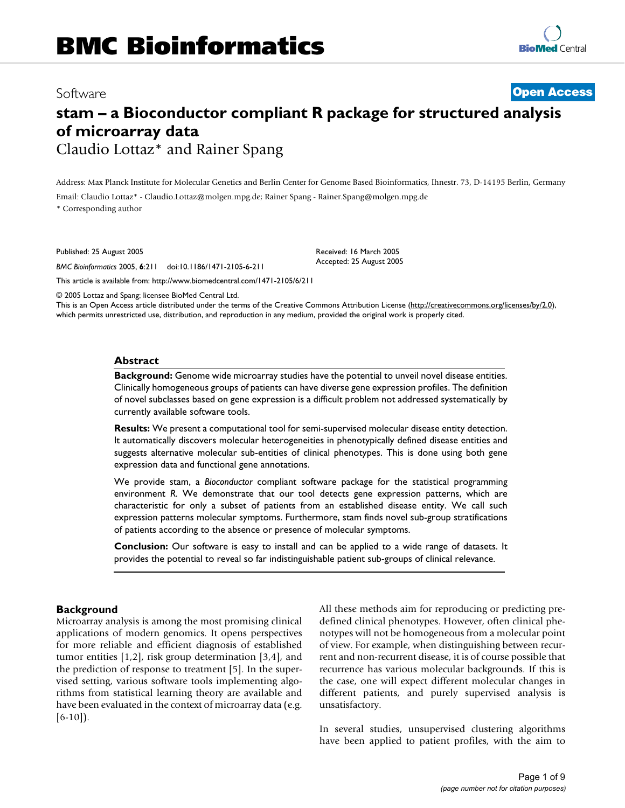Software **[Open Access](http://www.biomedcentral.com/info/about/charter/)**

# **stam – a Bioconductor compliant R package for structured analysis of microarray data** Claudio Lottaz\* and Rainer Spang

Address: Max Planck Institute for Molecular Genetics and Berlin Center for Genome Based Bioinformatics, Ihnestr. 73, D-14195 Berlin, Germany Email: Claudio Lottaz\* - Claudio.Lottaz@molgen.mpg.de; Rainer Spang - Rainer.Spang@molgen.mpg.de

> Received: 16 March 2005 Accepted: 25 August 2005

\* Corresponding author

Published: 25 August 2005

*BMC Bioinformatics* 2005, **6**:211 doi:10.1186/1471-2105-6-211

[This article is available from: http://www.biomedcentral.com/1471-2105/6/211](http://www.biomedcentral.com/1471-2105/6/211)

© 2005 Lottaz and Spang; licensee BioMed Central Ltd.

This is an Open Access article distributed under the terms of the Creative Commons Attribution License [\(http://creativecommons.org/licenses/by/2.0\)](http://creativecommons.org/licenses/by/2.0), which permits unrestricted use, distribution, and reproduction in any medium, provided the original work is properly cited.

#### **Abstract**

**Background:** Genome wide microarray studies have the potential to unveil novel disease entities. Clinically homogeneous groups of patients can have diverse gene expression profiles. The definition of novel subclasses based on gene expression is a difficult problem not addressed systematically by currently available software tools.

**Results:** We present a computational tool for semi-supervised molecular disease entity detection. It automatically discovers molecular heterogeneities in phenotypically defined disease entities and suggests alternative molecular sub-entities of clinical phenotypes. This is done using both gene expression data and functional gene annotations.

We provide stam, a *Bioconductor* compliant software package for the statistical programming environment *R*. We demonstrate that our tool detects gene expression patterns, which are characteristic for only a subset of patients from an established disease entity. We call such expression patterns molecular symptoms. Furthermore, stam finds novel sub-group stratifications of patients according to the absence or presence of molecular symptoms.

**Conclusion:** Our software is easy to install and can be applied to a wide range of datasets. It provides the potential to reveal so far indistinguishable patient sub-groups of clinical relevance.

# **Background**

Microarray analysis is among the most promising clinical applications of modern genomics. It opens perspectives for more reliable and efficient diagnosis of established tumor entities [1,2], risk group determination [3,4], and the prediction of response to treatment [5]. In the supervised setting, various software tools implementing algorithms from statistical learning theory are available and have been evaluated in the context of microarray data (e.g. [6-10]).

All these methods aim for reproducing or predicting predefined clinical phenotypes. However, often clinical phenotypes will not be homogeneous from a molecular point of view. For example, when distinguishing between recurrent and non-recurrent disease, it is of course possible that recurrence has various molecular backgrounds. If this is the case, one will expect different molecular changes in different patients, and purely supervised analysis is unsatisfactory.

In several studies, unsupervised clustering algorithms have been applied to patient profiles, with the aim to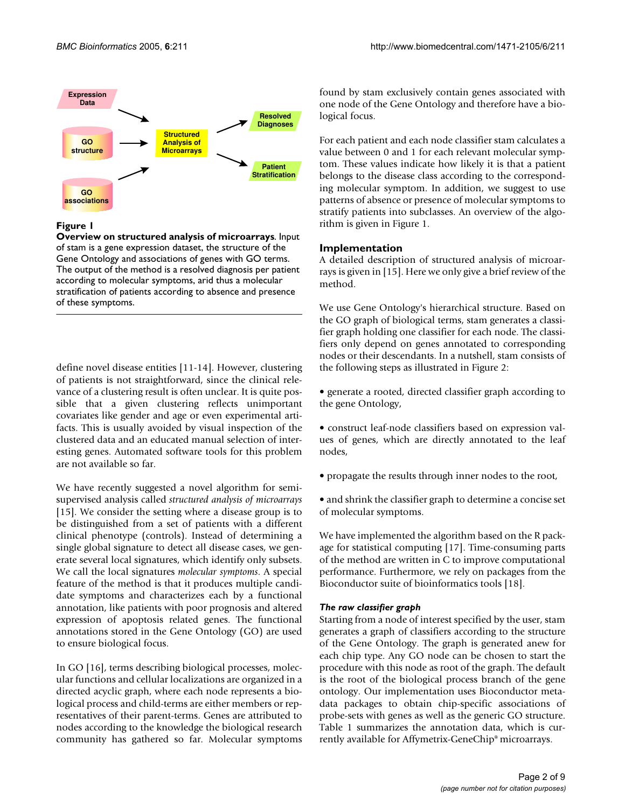

**Overview on structured analysis of microarrays**. Input of stam is a gene expression dataset, the structure of the Gene Ontology and associations of genes with GO terms. The output of the method is a resolved diagnosis per patient according to molecular symptoms, arid thus a molecular stratification of patients according to absence and presence of these symptoms.

define novel disease entities [11-14]. However, clustering of patients is not straightforward, since the clinical relevance of a clustering result is often unclear. It is quite possible that a given clustering reflects unimportant covariates like gender and age or even experimental artifacts. This is usually avoided by visual inspection of the clustered data and an educated manual selection of interesting genes. Automated software tools for this problem are not available so far.

We have recently suggested a novel algorithm for semisupervised analysis called *structured analysis of microarrays* [15]. We consider the setting where a disease group is to be distinguished from a set of patients with a different clinical phenotype (controls). Instead of determining a single global signature to detect all disease cases, we generate several local signatures, which identify only subsets. We call the local signatures *molecular symptoms*. A special feature of the method is that it produces multiple candidate symptoms and characterizes each by a functional annotation, like patients with poor prognosis and altered expression of apoptosis related genes. The functional annotations stored in the Gene Ontology (GO) are used to ensure biological focus.

In GO [16], terms describing biological processes, molecular functions and cellular localizations are organized in a directed acyclic graph, where each node represents a biological process and child-terms are either members or representatives of their parent-terms. Genes are attributed to nodes according to the knowledge the biological research community has gathered so far. Molecular symptoms found by stam exclusively contain genes associated with one node of the Gene Ontology and therefore have a biological focus.

For each patient and each node classifier stam calculates a value between 0 and 1 for each relevant molecular symptom. These values indicate how likely it is that a patient belongs to the disease class according to the corresponding molecular symptom. In addition, we suggest to use patterns of absence or presence of molecular symptoms to stratify patients into subclasses. An overview of the algorithm is given in Figure 1.

# **Implementation**

A detailed description of structured analysis of microarrays is given in [15]. Here we only give a brief review of the method.

We use Gene Ontology's hierarchical structure. Based on the GO graph of biological terms, stam generates a classifier graph holding one classifier for each node. The classifiers only depend on genes annotated to corresponding nodes or their descendants. In a nutshell, stam consists of the following steps as illustrated in Figure 2:

• generate a rooted, directed classifier graph according to the gene Ontology,

• construct leaf-node classifiers based on expression values of genes, which are directly annotated to the leaf nodes,

- propagate the results through inner nodes to the root,
- and shrink the classifier graph to determine a concise set of molecular symptoms.

We have implemented the algorithm based on the R package for statistical computing [17]. Time-consuming parts of the method are written in C to improve computational performance. Furthermore, we rely on packages from the Bioconductor suite of bioinformatics tools [18].

# *The raw classifier graph*

Starting from a node of interest specified by the user, stam generates a graph of classifiers according to the structure of the Gene Ontology. The graph is generated anew for each chip type. Any GO node can be chosen to start the procedure with this node as root of the graph. The default is the root of the biological process branch of the gene ontology. Our implementation uses Bioconductor metadata packages to obtain chip-specific associations of probe-sets with genes as well as the generic GO structure. Table 1 summarizes the annotation data, which is currently available for Affymetrix-GeneChip® microarrays.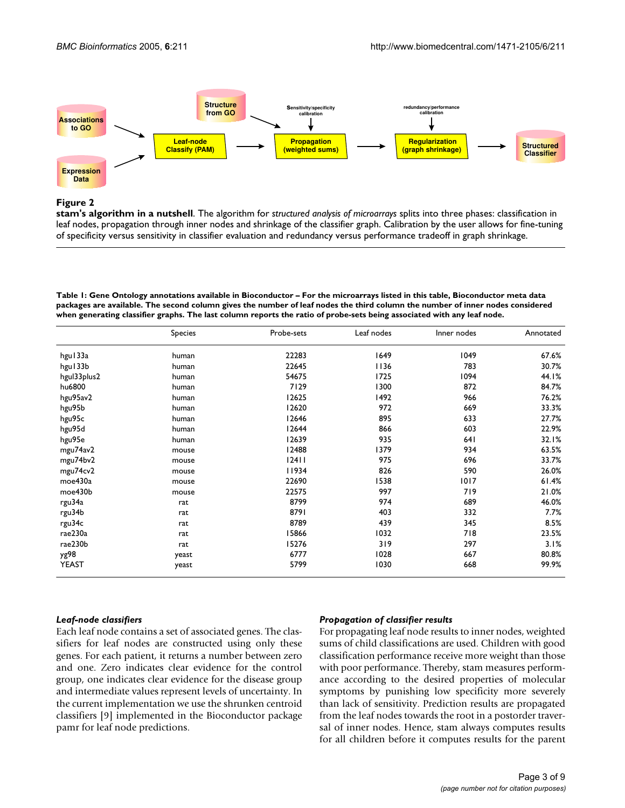

**stam's algorithm in a nutshell**. The algorithm for *structured analysis of microarrays* splits into three phases: classification in leaf nodes, propagation through inner nodes and shrinkage of the classifier graph. Calibration by the user allows for fine-tuning of specificity versus sensitivity in classifier evaluation and redundancy versus performance tradeoff in graph shrinkage.

**Table 1: Gene Ontology annotations available in Bioconductor – For the microarrays listed in this table, Bioconductor meta data packages are available. The second column gives the number of leaf nodes the third column the number of inner nodes considered when generating classifier graphs. The last column reports the ratio of probe-sets being associated with any leaf node.**

|              | <b>Species</b> | Probe-sets | Leaf nodes | Inner nodes | Annotated |
|--------------|----------------|------------|------------|-------------|-----------|
| hgu 133a     | human          | 22283      | 1649       | 1049        | 67.6%     |
| hgu I 33b    | human          | 22645      | 1136       | 783         | 30.7%     |
| hgul33plus2  | human          | 54675      | 1725       | 1094        | 44.1%     |
| hu6800       | human          | 7129       | 1300       | 872         | 84.7%     |
| hgu95av2     | human          | 12625      | 1492       | 966         | 76.2%     |
| hgu95b       | human          | 12620      | 972        | 669         | 33.3%     |
| hgu95c       | human          | 12646      | 895        | 633         | 27.7%     |
| hgu95d       | human          | 12644      | 866        | 603         | 22.9%     |
| hgu95e       | human          | 12639      | 935        | 64 I        | 32.1%     |
| mgu74av2     | mouse          | 12488      | 1379       | 934         | 63.5%     |
| mgu74bv2     | mouse          | 12411      | 975        | 696         | 33.7%     |
| mgu74cv2     | mouse          | 11934      | 826        | 590         | 26.0%     |
| moe430a      | mouse          | 22690      | 1538       | 1017        | 61.4%     |
| moe430b      | mouse          | 22575      | 997        | 719         | 21.0%     |
| rgu34a       | rat            | 8799       | 974        | 689         | 46.0%     |
| rgu34b       | rat            | 8791       | 403        | 332         | 7.7%      |
| rgu34c       | rat            | 8789       | 439        | 345         | 8.5%      |
| rae230a      | rat            | 15866      | 1032       | 718         | 23.5%     |
| rae230b      | rat            | 15276      | 319        | 297         | 3.1%      |
| yg98         | yeast          | 6777       | 1028       | 667         | 80.8%     |
| <b>YEAST</b> | yeast          | 5799       | 1030       | 668         | 99.9%     |

# *Leaf-node classifiers*

Each leaf node contains a set of associated genes. The classifiers for leaf nodes are constructed using only these genes. For each patient, it returns a number between zero and one. Zero indicates clear evidence for the control group, one indicates clear evidence for the disease group and intermediate values represent levels of uncertainty. In the current implementation we use the shrunken centroid classifiers [9] implemented in the Bioconductor package pamr for leaf node predictions.

#### *Propagation of classifier results*

For propagating leaf node results to inner nodes, weighted sums of child classifications are used. Children with good classification performance receive more weight than those with poor performance. Thereby, stam measures performance according to the desired properties of molecular symptoms by punishing low specificity more severely than lack of sensitivity. Prediction results are propagated from the leaf nodes towards the root in a postorder traversal of inner nodes. Hence, stam always computes results for all children before it computes results for the parent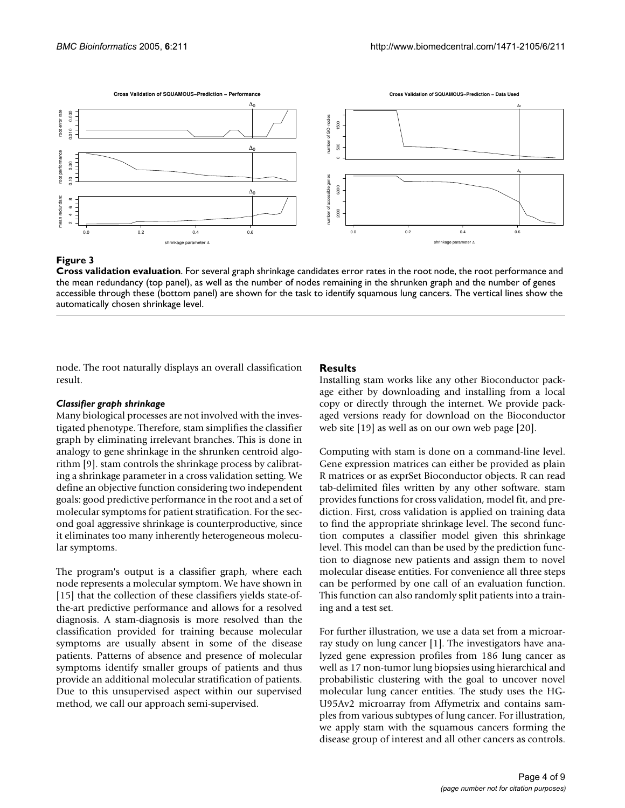

**Cross validation evaluation**. For several graph shrinkage candidates error rates in the root node, the root performance and the mean redundancy (top panel), as well as the number of nodes remaining in the shrunken graph and the number of genes accessible through these (bottom panel) are shown for the task to identify squamous lung cancers. The vertical lines show the automatically chosen shrinkage level.

node. The root naturally displays an overall classification result.

#### *Classifier graph shrinkage*

Many biological processes are not involved with the investigated phenotype. Therefore, stam simplifies the classifier graph by eliminating irrelevant branches. This is done in analogy to gene shrinkage in the shrunken centroid algorithm [9]. stam controls the shrinkage process by calibrating a shrinkage parameter in a cross validation setting. We define an objective function considering two independent goals: good predictive performance in the root and a set of molecular symptoms for patient stratification. For the second goal aggressive shrinkage is counterproductive, since it eliminates too many inherently heterogeneous molecular symptoms.

The program's output is a classifier graph, where each node represents a molecular symptom. We have shown in [15] that the collection of these classifiers yields state-ofthe-art predictive performance and allows for a resolved diagnosis. A stam-diagnosis is more resolved than the classification provided for training because molecular symptoms are usually absent in some of the disease patients. Patterns of absence and presence of molecular symptoms identify smaller groups of patients and thus provide an additional molecular stratification of patients. Due to this unsupervised aspect within our supervised method, we call our approach semi-supervised.

#### **Results**

Installing stam works like any other Bioconductor package either by downloading and installing from a local copy or directly through the internet. We provide packaged versions ready for download on the Bioconductor web site [19] as well as on our own web page [20].

Computing with stam is done on a command-line level. Gene expression matrices can either be provided as plain R matrices or as exprSet Bioconductor objects. R can read tab-delimited files written by any other software. stam provides functions for cross validation, model fit, and prediction. First, cross validation is applied on training data to find the appropriate shrinkage level. The second function computes a classifier model given this shrinkage level. This model can than be used by the prediction function to diagnose new patients and assign them to novel molecular disease entities. For convenience all three steps can be performed by one call of an evaluation function. This function can also randomly split patients into a training and a test set.

For further illustration, we use a data set from a microarray study on lung cancer [1]. The investigators have analyzed gene expression profiles from 186 lung cancer as well as 17 non-tumor lung biopsies using hierarchical and probabilistic clustering with the goal to uncover novel molecular lung cancer entities. The study uses the HG-U95Av2 microarray from Affymetrix and contains samples from various subtypes of lung cancer. For illustration, we apply stam with the squamous cancers forming the disease group of interest and all other cancers as controls.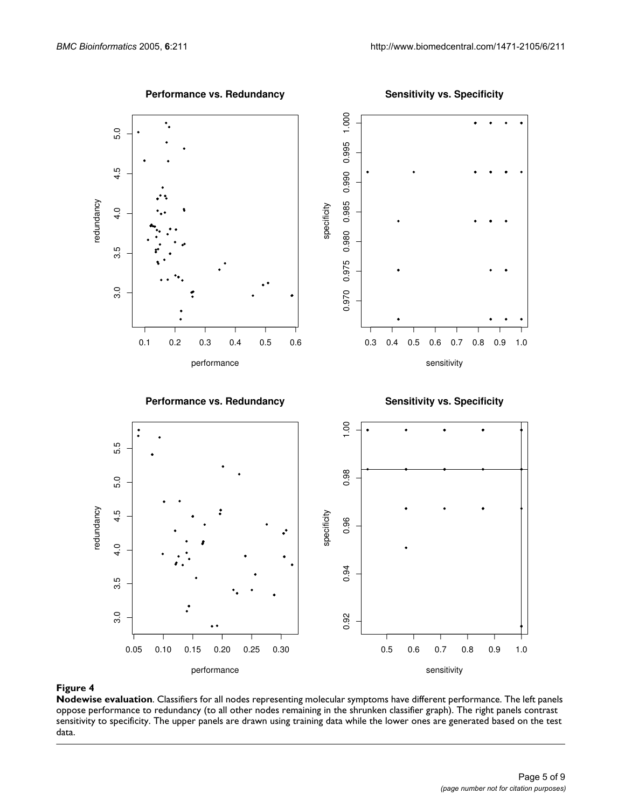

**Nodewise evaluation**. Classifiers for all nodes representing molecular symptoms have different performance. The left panels oppose performance to redundancy (to all other nodes remaining in the shrunken classifier graph). The right panels contrast sensitivity to specificity. The upper panels are drawn using training data while the lower ones are generated based on the test data.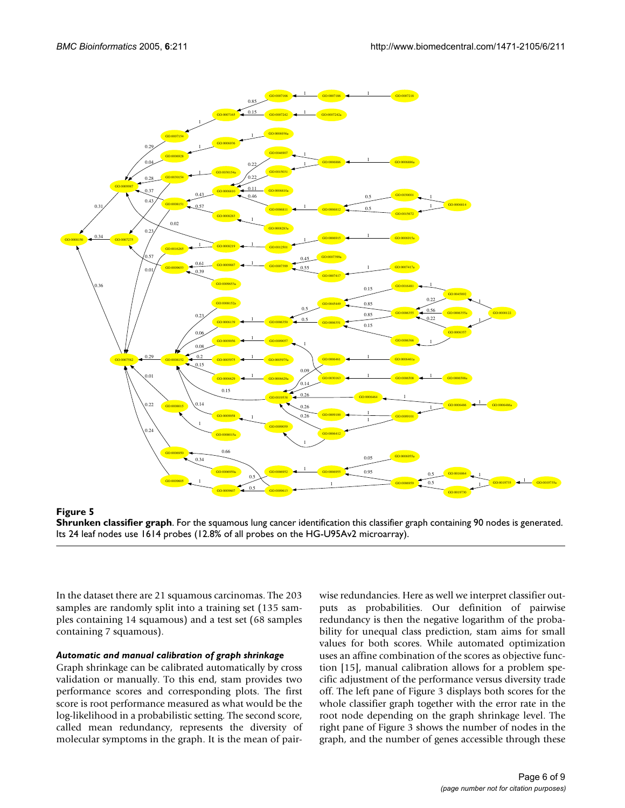

**Shrunken classifier graph**. For the squamous lung cancer identification this classifier graph containing 90 nodes is generated. Its 24 leaf nodes use 1614 probes (12.8% of all probes on the HG-U95Av2 microarray).

In the dataset there are 21 squamous carcinomas. The 203 samples are randomly split into a training set (135 samples containing 14 squamous) and a test set (68 samples containing 7 squamous).

#### *Automatic and manual calibration of graph shrinkage*

Graph shrinkage can be calibrated automatically by cross validation or manually. To this end, stam provides two performance scores and corresponding plots. The first score is root performance measured as what would be the log-likelihood in a probabilistic setting. The second score, called mean redundancy, represents the diversity of molecular symptoms in the graph. It is the mean of pairwise redundancies. Here as well we interpret classifier outputs as probabilities. Our definition of pairwise redundancy is then the negative logarithm of the probability for unequal class prediction, stam aims for small values for both scores. While automated optimization uses an affine combination of the scores as objective function [15], manual calibration allows for a problem specific adjustment of the performance versus diversity trade off. The left pane of Figure 3 displays both scores for the whole classifier graph together with the error rate in the root node depending on the graph shrinkage level. The right pane of Figure 3 shows the number of nodes in the graph, and the number of genes accessible through these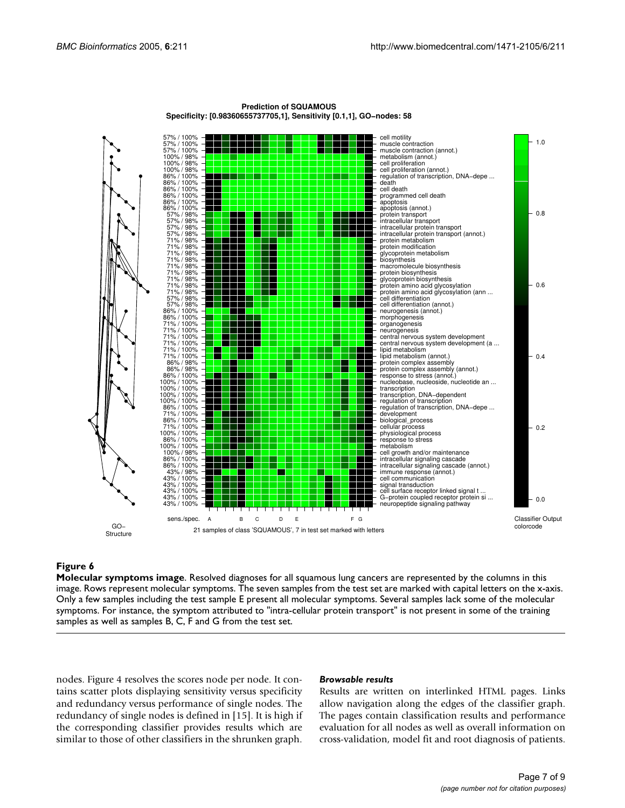

**Prediction of SQUAMOUS Specificity: [0.98360655737705,1], Sensitivity [0.1,1], GO−nodes: 58**

**Molecular symptoms image**. Resolved diagnoses for all squamous lung cancers are represented by the columns in this image. Rows represent molecular symptoms. The seven samples from the test set are marked with capital letters on the x-axis. Only a few samples including the test sample E present all molecular symptoms. Several samples lack some of the molecular symptoms. For instance, the symptom attributed to "intra-cellular protein transport" is not present in some of the training samples as well as samples B, C, F and G from the test set.

nodes. Figure 4 resolves the scores node per node. It contains scatter plots displaying sensitivity versus specificity and redundancy versus performance of single nodes. The redundancy of single nodes is defined in [15]. It is high if the corresponding classifier provides results which are similar to those of other classifiers in the shrunken graph.

#### *Browsable results*

Results are written on interlinked HTML pages. Links allow navigation along the edges of the classifier graph. The pages contain classification results and performance evaluation for all nodes as well as overall information on cross-validation, model fit and root diagnosis of patients.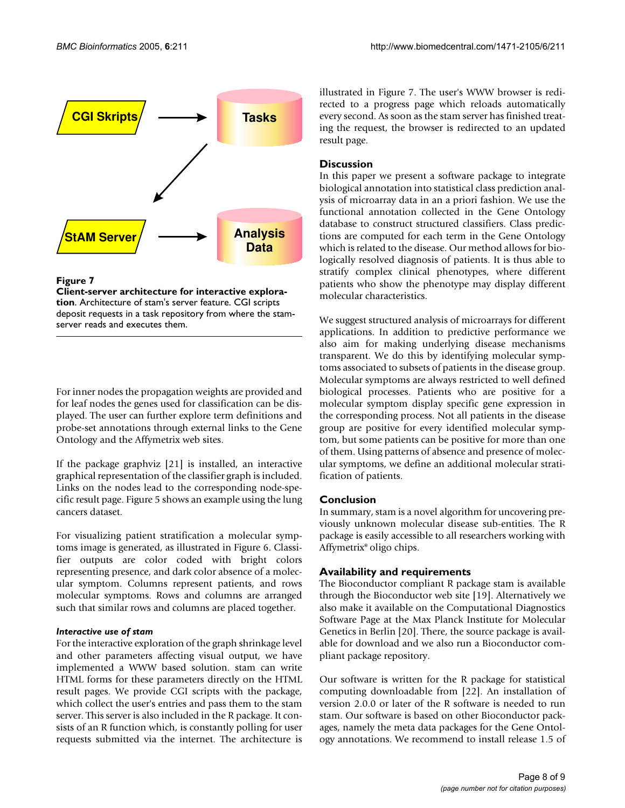

**Client-server architecture for interactive exploration**. Architecture of stam's server feature. CGI scripts deposit requests in a task repository from where the stamserver reads and executes them.

For inner nodes the propagation weights are provided and for leaf nodes the genes used for classification can be displayed. The user can further explore term definitions and probe-set annotations through external links to the Gene Ontology and the Affymetrix web sites.

If the package graphviz [21] is installed, an interactive graphical representation of the classifier graph is included. Links on the nodes lead to the corresponding node-specific result page. Figure 5 shows an example using the lung cancers dataset.

For visualizing patient stratification a molecular symptoms image is generated, as illustrated in Figure 6. Classifier outputs are color coded with bright colors representing presence, and dark color absence of a molecular symptom. Columns represent patients, and rows molecular symptoms. Rows and columns are arranged such that similar rows and columns are placed together.

# *Interactive use of stam*

For the interactive exploration of the graph shrinkage level and other parameters affecting visual output, we have implemented a WWW based solution. stam can write HTML forms for these parameters directly on the HTML result pages. We provide CGI scripts with the package, which collect the user's entries and pass them to the stam server. This server is also included in the R package. It consists of an R function which, is constantly polling for user requests submitted via the internet. The architecture is illustrated in Figure 7. The user's WWW browser is redirected to a progress page which reloads automatically every second. As soon as the stam server has finished treating the request, the browser is redirected to an updated result page.

# **Discussion**

In this paper we present a software package to integrate biological annotation into statistical class prediction analysis of microarray data in an a priori fashion. We use the functional annotation collected in the Gene Ontology database to construct structured classifiers. Class predictions are computed for each term in the Gene Ontology which is related to the disease. Our method allows for biologically resolved diagnosis of patients. It is thus able to stratify complex clinical phenotypes, where different patients who show the phenotype may display different molecular characteristics.

We suggest structured analysis of microarrays for different applications. In addition to predictive performance we also aim for making underlying disease mechanisms transparent. We do this by identifying molecular symptoms associated to subsets of patients in the disease group. Molecular symptoms are always restricted to well defined biological processes. Patients who are positive for a molecular symptom display specific gene expression in the corresponding process. Not all patients in the disease group are positive for every identified molecular symptom, but some patients can be positive for more than one of them. Using patterns of absence and presence of molecular symptoms, we define an additional molecular stratification of patients.

# **Conclusion**

In summary, stam is a novel algorithm for uncovering previously unknown molecular disease sub-entities. The R package is easily accessible to all researchers working with Affymetrix® oligo chips.

# **Availability and requirements**

The Bioconductor compliant R package stam is available through the Bioconductor web site [19]. Alternatively we also make it available on the Computational Diagnostics Software Page at the Max Planck Institute for Molecular Genetics in Berlin [20]. There, the source package is available for download and we also run a Bioconductor compliant package repository.

Our software is written for the R package for statistical computing downloadable from [22]. An installation of version 2.0.0 or later of the R software is needed to run stam. Our software is based on other Bioconductor packages, namely the meta data packages for the Gene Ontology annotations. We recommend to install release 1.5 of